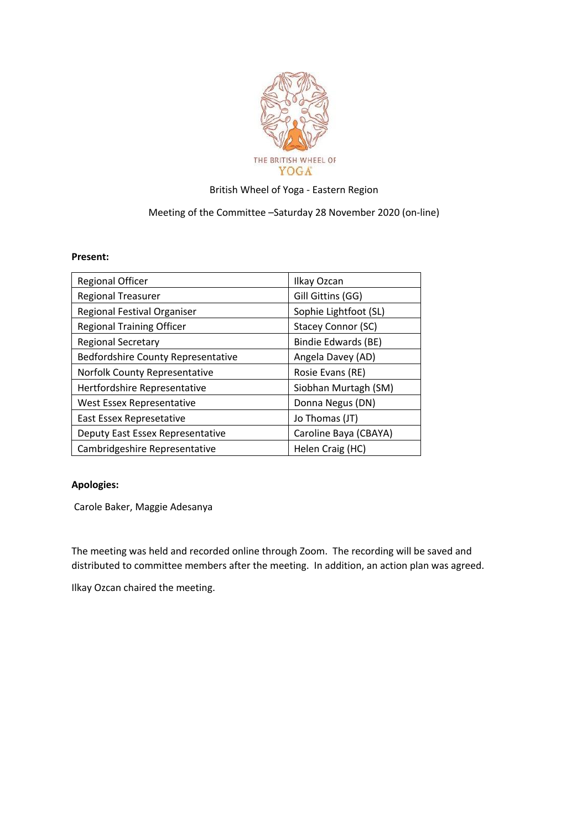

## British Wheel of Yoga - Eastern Region

## Meeting of the Committee –Saturday 28 November 2020 (on-line)

## **Present:**

| <b>Regional Officer</b>                   | Ilkay Ozcan               |
|-------------------------------------------|---------------------------|
| <b>Regional Treasurer</b>                 | Gill Gittins (GG)         |
| Regional Festival Organiser               | Sophie Lightfoot (SL)     |
| <b>Regional Training Officer</b>          | <b>Stacey Connor (SC)</b> |
| <b>Regional Secretary</b>                 | Bindie Edwards (BE)       |
| <b>Bedfordshire County Representative</b> | Angela Davey (AD)         |
| Norfolk County Representative             | Rosie Evans (RE)          |
| Hertfordshire Representative              | Siobhan Murtagh (SM)      |
| West Essex Representative                 | Donna Negus (DN)          |
| East Essex Represetative                  | Jo Thomas (JT)            |
| Deputy East Essex Representative          | Caroline Baya (CBAYA)     |
| Cambridgeshire Representative             | Helen Craig (HC)          |

## **Apologies:**

Carole Baker, Maggie Adesanya

The meeting was held and recorded online through Zoom. The recording will be saved and distributed to committee members after the meeting. In addition, an action plan was agreed.

Ilkay Ozcan chaired the meeting.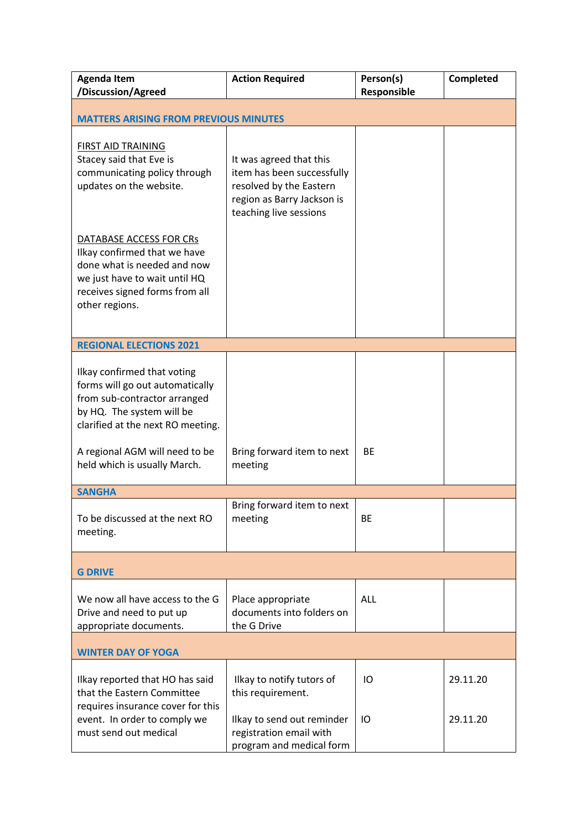| <b>Agenda Item</b><br>/Discussion/Agreed                                                                                                                                    | <b>Action Required</b>                                                                                                                   | Person(s)<br>Responsible | Completed |  |  |
|-----------------------------------------------------------------------------------------------------------------------------------------------------------------------------|------------------------------------------------------------------------------------------------------------------------------------------|--------------------------|-----------|--|--|
| <b>MATTERS ARISING FROM PREVIOUS MINUTES</b>                                                                                                                                |                                                                                                                                          |                          |           |  |  |
| <b>FIRST AID TRAINING</b><br>Stacey said that Eve is<br>communicating policy through<br>updates on the website.                                                             | It was agreed that this<br>item has been successfully<br>resolved by the Eastern<br>region as Barry Jackson is<br>teaching live sessions |                          |           |  |  |
| DATABASE ACCESS FOR CRs<br>Ilkay confirmed that we have<br>done what is needed and now<br>we just have to wait until HQ<br>receives signed forms from all<br>other regions. |                                                                                                                                          |                          |           |  |  |
| <b>REGIONAL ELECTIONS 2021</b>                                                                                                                                              |                                                                                                                                          |                          |           |  |  |
| Ilkay confirmed that voting<br>forms will go out automatically<br>from sub-contractor arranged<br>by HQ. The system will be<br>clarified at the next RO meeting.            |                                                                                                                                          |                          |           |  |  |
| A regional AGM will need to be<br>held which is usually March.                                                                                                              | Bring forward item to next<br>meeting                                                                                                    | <b>BE</b>                |           |  |  |
| <b>SANGHA</b>                                                                                                                                                               |                                                                                                                                          |                          |           |  |  |
| To be discussed at the next RO<br>meeting.                                                                                                                                  | Bring forward item to next<br>meeting                                                                                                    | BE                       |           |  |  |
| <b>G DRIVE</b>                                                                                                                                                              |                                                                                                                                          |                          |           |  |  |
| We now all have access to the G<br>Drive and need to put up<br>appropriate documents.                                                                                       | Place appropriate<br>documents into folders on<br>the G Drive                                                                            | <b>ALL</b>               |           |  |  |
| <b>WINTER DAY OF YOGA</b>                                                                                                                                                   |                                                                                                                                          |                          |           |  |  |
| Ilkay reported that HO has said<br>that the Eastern Committee<br>requires insurance cover for this                                                                          | Ilkay to notify tutors of<br>this requirement.                                                                                           | IO                       | 29.11.20  |  |  |
| event. In order to comply we<br>must send out medical                                                                                                                       | Ilkay to send out reminder<br>registration email with<br>program and medical form                                                        | IO                       | 29.11.20  |  |  |